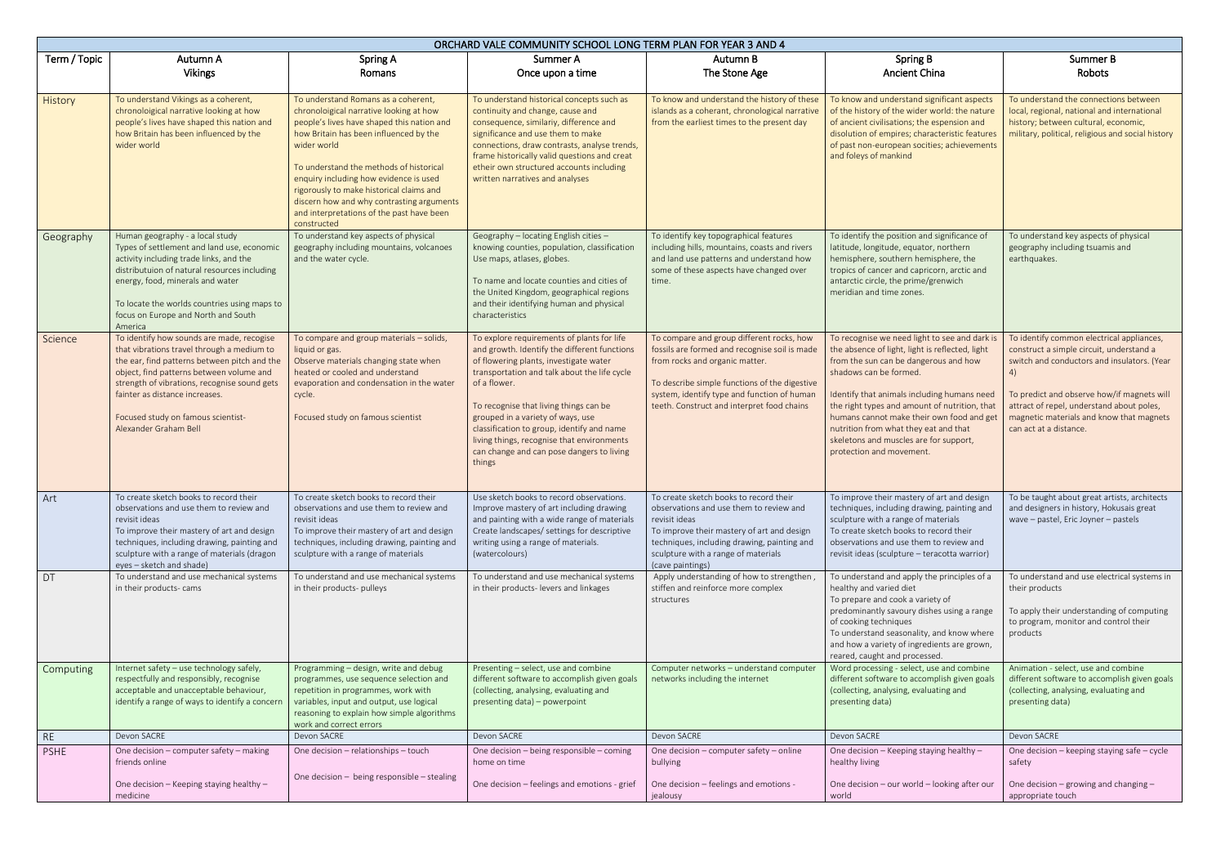| ORCHARD VALE COMMUNITY SCHOOL LONG TERM PLAN FOR YEAR 3 AND 4 |                                                                                                                                                                                                                                                                                                                                      |                                                                                                                                                                                                                                                                                                                                                                                                                                 |                                                                                                                                                                                                                                                                                                                                                                                                                                        |                                                                                                                                                                                                                                                                            |                                                                                                                                                                                                                                                                                                                                                                                                                              |                                                                                                                                                                                                                                                                                                             |  |  |  |  |
|---------------------------------------------------------------|--------------------------------------------------------------------------------------------------------------------------------------------------------------------------------------------------------------------------------------------------------------------------------------------------------------------------------------|---------------------------------------------------------------------------------------------------------------------------------------------------------------------------------------------------------------------------------------------------------------------------------------------------------------------------------------------------------------------------------------------------------------------------------|----------------------------------------------------------------------------------------------------------------------------------------------------------------------------------------------------------------------------------------------------------------------------------------------------------------------------------------------------------------------------------------------------------------------------------------|----------------------------------------------------------------------------------------------------------------------------------------------------------------------------------------------------------------------------------------------------------------------------|------------------------------------------------------------------------------------------------------------------------------------------------------------------------------------------------------------------------------------------------------------------------------------------------------------------------------------------------------------------------------------------------------------------------------|-------------------------------------------------------------------------------------------------------------------------------------------------------------------------------------------------------------------------------------------------------------------------------------------------------------|--|--|--|--|
| Term / Topic                                                  | Autumn A<br><b>Vikings</b>                                                                                                                                                                                                                                                                                                           | Spring A<br>Romans                                                                                                                                                                                                                                                                                                                                                                                                              | Summer A<br>Once upon a time                                                                                                                                                                                                                                                                                                                                                                                                           | Autumn B<br>The Stone Age                                                                                                                                                                                                                                                  | <b>Spring B</b><br><b>Ancient China</b>                                                                                                                                                                                                                                                                                                                                                                                      | Summer B<br>Robots                                                                                                                                                                                                                                                                                          |  |  |  |  |
| History                                                       | To understand Vikings as a coherent,<br>chronoloigical narrative looking at how<br>people's lives have shaped this nation and<br>how Britain has been influenced by the<br>wider world                                                                                                                                               | To understand Romans as a coherent,<br>chronoloigical narrative looking at how<br>people's lives have shaped this nation and<br>how Britain has been influenced by the<br>wider world<br>To understand the methods of historical<br>enquiry including how evidence is used<br>rigorously to make historical claims and<br>discern how and why contrasting arguments<br>and interpretations of the past have been<br>constructed | To understand historical concepts such as<br>continuity and change, cause and<br>consequence, similariy, difference and<br>significance and use them to make<br>connections, draw contrasts, analyse trends,<br>frame historically valid questions and creat<br>etheir own structured accounts including<br>written narratives and analyses                                                                                            | To know and understand the history of these<br>islands as a coherant, chronological narrative<br>from the earliest times to the present day                                                                                                                                | To know and understand significant aspects<br>of the history of the wider world: the nature<br>of ancient civilisations; the espension and<br>disolution of empires; characteristic features<br>of past non-european socities; achievements<br>and foleys of mankind                                                                                                                                                         | To understand the connections between<br>local, regional, national and international<br>history; between cultural, economic,<br>military, political, religious and social history                                                                                                                           |  |  |  |  |
| Geography                                                     | Human geography - a local study<br>Types of settlement and land use, economic<br>activity including trade links, and the<br>distributuion of natural resources including<br>energy, food, minerals and water<br>To locate the worlds countries using maps to<br>focus on Europe and North and South<br>America                       | To understand key aspects of physical<br>geography including mountains, volcanoes<br>and the water cycle.                                                                                                                                                                                                                                                                                                                       | Geography - locating English cities -<br>knowing counties, population, classification<br>Use maps, atlases, globes.<br>To name and locate counties and cities of<br>the United Kingdom, geographical regions<br>and their identifying human and physical<br>characteristics                                                                                                                                                            | To identify key topographical features<br>including hills, mountains, coasts and rivers<br>and land use patterns and understand how<br>some of these aspects have changed over<br>time.                                                                                    | To identify the position and significance of<br>latitude, longitude, equator, northern<br>hemisphere, southern hemisphere, the<br>tropics of cancer and capricorn, arctic and<br>antarctic circle, the prime/grenwich<br>meridian and time zones.                                                                                                                                                                            | To understand key aspects of physical<br>geography including tsuamis and<br>earthquakes.                                                                                                                                                                                                                    |  |  |  |  |
| Science                                                       | To identify how sounds are made, recogise<br>that vibrations travel through a medium to<br>the ear, find patterns between pitch and the<br>object, find patterns between volume and<br>strength of vibrations, recognise sound gets<br>fainter as distance increases.<br>Focused study on famous scientist-<br>Alexander Graham Bell | To compare and group materials - solids,<br>liquid or gas.<br>Observe materials changing state when<br>heated or cooled and understand<br>evaporation and condensation in the water<br>cycle.<br>Focused study on famous scientist                                                                                                                                                                                              | To explore requirements of plants for life<br>and growth. Identify the different functions<br>of flowering plants, investigate water<br>transportation and talk about the life cycle<br>of a flower.<br>To recognise that living things can be<br>grouped in a variety of ways, use<br>classification to group, identify and name<br>living things, recognise that environments<br>can change and can pose dangers to living<br>things | To compare and group different rocks, how<br>fossils are formed and recognise soil is made<br>from rocks and organic matter.<br>To describe simple functions of the digestive<br>system, identify type and function of human<br>teeth. Construct and interpret food chains | To recognise we need light to see and dark<br>the absence of light, light is reflected, light<br>from the sun can be dangerous and how<br>shadows can be formed.<br>Identify that animals including humans need<br>the right types and amount of nutrition, that<br>humans cannot make their own food and get<br>nutrition from what they eat and that<br>skeletons and muscles are for support,<br>protection and movement. | To identify common electrical appliances,<br>construct a simple circuit, understand a<br>switch and conductors and insulators. (Year<br>4)<br>To predict and observe how/if magnets will<br>attract of repel, understand about poles,<br>magnetic materials and know that magnets<br>can act at a distance. |  |  |  |  |
| Art                                                           | To create sketch books to record their<br>observations and use them to review and<br>revisit ideas<br>To improve their mastery of art and design<br>techniques, including drawing, painting and<br>sculpture with a range of materials (dragon<br>eyes - sketch and shade)                                                           | To create sketch books to record their<br>observations and use them to review and<br>revisit ideas<br>To improve their mastery of art and design<br>techniques, including drawing, painting and<br>sculpture with a range of materials                                                                                                                                                                                          | Use sketch books to record observations.<br>Improve mastery of art including drawing<br>and painting with a wide range of materials<br>Create landscapes/ settings for descriptive<br>writing using a range of materials.<br>(watercolours)                                                                                                                                                                                            | To create sketch books to record their<br>observations and use them to review and<br>revisit ideas<br>To improve their mastery of art and design<br>techniques, including drawing, painting and<br>sculpture with a range of materials<br>(cave paintings)                 | To improve their mastery of art and design<br>techniques, including drawing, painting and<br>sculpture with a range of materials<br>To create sketch books to record their<br>observations and use them to review and<br>revisit ideas (sculpture - teracotta warrior)                                                                                                                                                       | To be taught about great artists, architects<br>and designers in history, Hokusais great<br>wave - pastel, Eric Joyner - pastels                                                                                                                                                                            |  |  |  |  |
| DT                                                            | To understand and use mechanical systems<br>in their products-cams                                                                                                                                                                                                                                                                   | To understand and use mechanical systems<br>in their products- pulleys                                                                                                                                                                                                                                                                                                                                                          | To understand and use mechanical systems<br>in their products- levers and linkages                                                                                                                                                                                                                                                                                                                                                     | Apply understanding of how to strengthen,<br>stiffen and reinforce more complex<br>structures                                                                                                                                                                              | To understand and apply the principles of a<br>healthy and varied diet<br>To prepare and cook a variety of<br>predominantly savoury dishes using a range<br>of cooking techniques<br>To understand seasonality, and know where<br>and how a variety of ingredients are grown,<br>reared, caught and processed.                                                                                                               | To understand and use electrical systems in<br>their products<br>To apply their understanding of computing<br>to program, monitor and control their<br>products                                                                                                                                             |  |  |  |  |
| Computing                                                     | Internet safety - use technology safely,<br>respectfully and responsibly, recognise<br>acceptable and unacceptable behaviour,<br>identify a range of ways to identify a concern                                                                                                                                                      | Programming - design, write and debug<br>programmes, use sequence selection and<br>repetition in programmes, work with<br>variables, input and output, use logical<br>reasoning to explain how simple algorithms<br>work and correct errors                                                                                                                                                                                     | Presenting - select, use and combine<br>different software to accomplish given goals<br>(collecting, analysing, evaluating and<br>presenting data) - powerpoint                                                                                                                                                                                                                                                                        | Computer networks - understand computer<br>networks including the internet                                                                                                                                                                                                 | Word processing - select, use and combine<br>different software to accomplish given goals<br>(collecting, analysing, evaluating and<br>presenting data)                                                                                                                                                                                                                                                                      | Animation - select, use and combine<br>different software to accomplish given goals<br>(collecting, analysing, evaluating and<br>presenting data)                                                                                                                                                           |  |  |  |  |
| <b>RE</b>                                                     | Devon SACRE                                                                                                                                                                                                                                                                                                                          | Devon SACRE                                                                                                                                                                                                                                                                                                                                                                                                                     | Devon SACRE                                                                                                                                                                                                                                                                                                                                                                                                                            | Devon SACRE                                                                                                                                                                                                                                                                | Devon SACRE                                                                                                                                                                                                                                                                                                                                                                                                                  | Devon SACRE                                                                                                                                                                                                                                                                                                 |  |  |  |  |
| <b>PSHE</b>                                                   | One decision - computer safety - making<br>friends online                                                                                                                                                                                                                                                                            | One decision - relationships - touch<br>One decision - being responsible - stealing                                                                                                                                                                                                                                                                                                                                             | One decision - being responsible - coming<br>home on time                                                                                                                                                                                                                                                                                                                                                                              | One decision - computer safety - online<br>bullying                                                                                                                                                                                                                        | One decision - Keeping staying healthy -<br>healthy living                                                                                                                                                                                                                                                                                                                                                                   | One decision - keeping staying safe - cycle<br>safety                                                                                                                                                                                                                                                       |  |  |  |  |
|                                                               | One decision - Keeping staying healthy -<br>medicine                                                                                                                                                                                                                                                                                 |                                                                                                                                                                                                                                                                                                                                                                                                                                 | One decision - feelings and emotions - grief                                                                                                                                                                                                                                                                                                                                                                                           | One decision - feelings and emotions -<br>jealousy                                                                                                                                                                                                                         | One decision - our world - looking after our<br>world                                                                                                                                                                                                                                                                                                                                                                        | One decision – growing and changing –<br>appropriate touch                                                                                                                                                                                                                                                  |  |  |  |  |